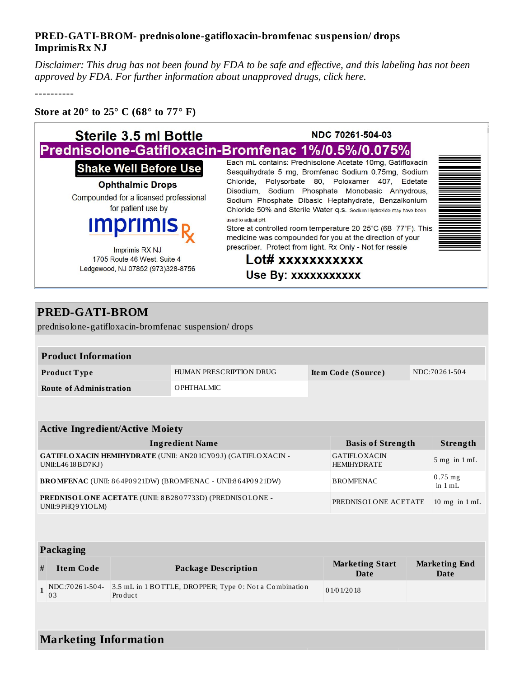## **PRED-GATI-BROM- prednisolone-gatifloxacin-bromfenac suspension/ drops ImprimisRx NJ**

Disclaimer: This drug has not been found by FDA to be safe and effective, and this labeling has not been *approved by FDA. For further information about unapproved drugs, click here.*

----------

## **Store at 20° to 25° C (68° to 77° F)**

| <b>Sterile 3.5 ml Bottle</b>                                                                                                                                                                                                                          | NDC 70261-504-03<br>Prednisolone-Gatifloxacin-Bromfenac 1%/0.5%/0.075%                                                                                                                                                                                                                                                  |  |
|-------------------------------------------------------------------------------------------------------------------------------------------------------------------------------------------------------------------------------------------------------|-------------------------------------------------------------------------------------------------------------------------------------------------------------------------------------------------------------------------------------------------------------------------------------------------------------------------|--|
| <b>Shake Well Before Use</b>                                                                                                                                                                                                                          | Each mL contains: Prednisolone Acetate 10mg, Gatifloxacin<br>Sesquihydrate 5 mg, Bromfenac Sodium 0.75mg, Sodium                                                                                                                                                                                                        |  |
| <b>Ophthalmic Drops</b><br>Compounded for a licensed professional<br>for patient use by<br><b>Imprimis</b>                                                                                                                                            | Chloride, Polysorbate 80, Poloxamer 407, Edetate<br>Disodium, Sodium Phosphate Monobasic Anhydrous,<br>Sodium Phosphate Dibasic Heptahydrate, Benzalkonium<br>Chloride 50% and Sterile Water q.s. Sodium Hydroxide may have been<br>used to adjust pH.<br>Store at controlled room temperature 20-25°C (68 -77°F). This |  |
| medicine was compounded for you at the direction of your<br>prescriber. Protect from light. Rx Only - Not for resale<br>Imprimis RX NJ<br>Lot# xxxxxxxxxxx<br>1705 Route 46 West, Suite 4<br>Ledgewood, NJ 07852 (973)328-8756<br>Use By: xxxxxxxxxxx |                                                                                                                                                                                                                                                                                                                         |  |

## **PRED-GATI-BROM**

prednisolone-gatifloxacin-bromfenac suspension/ drops

| <b>Product Information</b>     |                         |                    |               |
|--------------------------------|-------------------------|--------------------|---------------|
| <b>Product Type</b>            | HUMAN PRESCRIPTION DRUG | Item Code (Source) | NDC:70261-504 |
| <b>Route of Administration</b> | OPHTHALMIC              |                    |               |

| <b>Active Ingredient/Active Moiety</b>                                                   |                                           |                      |  |  |
|------------------------------------------------------------------------------------------|-------------------------------------------|----------------------|--|--|
| <b>Ingredient Name</b>                                                                   | <b>Basis of Strength</b>                  | Strength             |  |  |
| <b>GATIFLOXACIN HEMIHYDRATE (UNII: AN201CY09J) (GATIFLOXACIN -</b><br>UNII:L46 18 BD7KJ) | <b>GATIFLOXACIN</b><br><b>HEMIHYDRATE</b> | $5$ mg in $1$ mL     |  |  |
| BROMFENAC (UNII: 864P0921DW) (BROMFENAC - UNII:864P0921DW)                               | <b>BROMFENAC</b>                          | $0.75$ mg<br>in 1 mL |  |  |
| PREDNISOLONE ACETATE (UNII: 8B2807733D) (PREDNISOLONE -<br>UNII:9 PHQ9 Y1OLM)            | PREDNISOLONE ACETATE                      | 10 mg in $1 mL$      |  |  |

| <b>Packaging</b> |                              |                                                                   |                                |                                     |
|------------------|------------------------------|-------------------------------------------------------------------|--------------------------------|-------------------------------------|
| #                | <b>Item Code</b>             | <b>Package Description</b>                                        | <b>Marketing Start</b><br>Date | <b>Marketing End</b><br><b>Date</b> |
|                  | NDC:70261-504-<br>0.3        | 3.5 mL in 1 BOTTLE, DROPPER; Type 0: Not a Combination<br>Product | 01/01/2018                     |                                     |
|                  |                              |                                                                   |                                |                                     |
|                  | <b>Marketing Information</b> |                                                                   |                                |                                     |